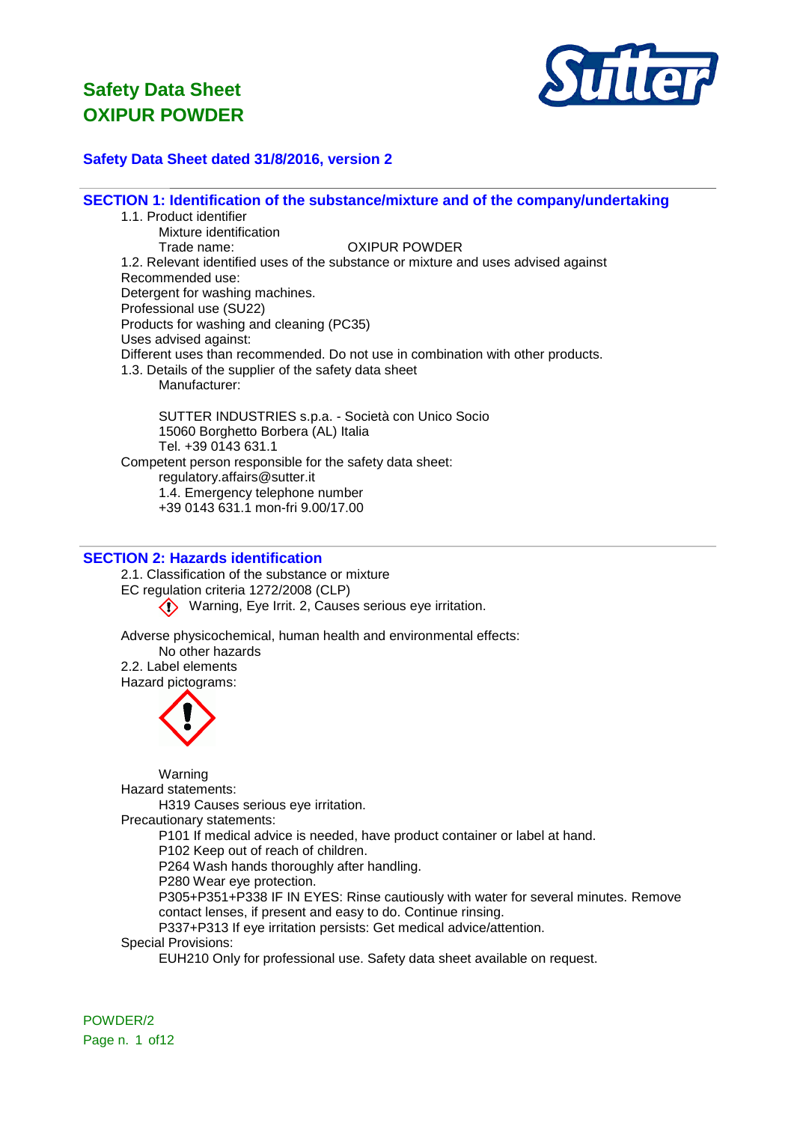

## **Safety Data Sheet dated 31/8/2016, version 2**

**SECTION 1: Identification of the substance/mixture and of the company/undertaking**

1.1. Product identifier Mixture identification Trade name: OXIPUR POWDER 1.2. Relevant identified uses of the substance or mixture and uses advised against Recommended use: Detergent for washing machines. Professional use (SU22) Products for washing and cleaning (PC35) Uses advised against: Different uses than recommended. Do not use in combination with other products. 1.3. Details of the supplier of the safety data sheet Manufacturer: SUTTER INDUSTRIES s.p.a. - Società con Unico Socio 15060 Borghetto Borbera (AL) Italia Tel. +39 0143 631.1 Competent person responsible for the safety data sheet: regulatory.affairs@sutter.it 1.4. Emergency telephone number +39 0143 631.1 mon-fri 9.00/17.00

# **SECTION 2: Hazards identification**

2.1. Classification of the substance or mixture EC regulation criteria 1272/2008 (CLP) Warning, Eye Irrit. 2, Causes serious eye irritation.

Adverse physicochemical, human health and environmental effects: No other hazards 2.2. Label elements Hazard pictograms:



Warning

Hazard statements:

H319 Causes serious eye irritation.

Precautionary statements:

P101 If medical advice is needed, have product container or label at hand.

P102 Keep out of reach of children.

P264 Wash hands thoroughly after handling.

P280 Wear eye protection.

P305+P351+P338 IF IN EYES: Rinse cautiously with water for several minutes. Remove contact lenses, if present and easy to do. Continue rinsing.

P337+P313 If eye irritation persists: Get medical advice/attention.

Special Provisions:

EUH210 Only for professional use. Safety data sheet available on request.

POWDER/2 Page n. 1 of 12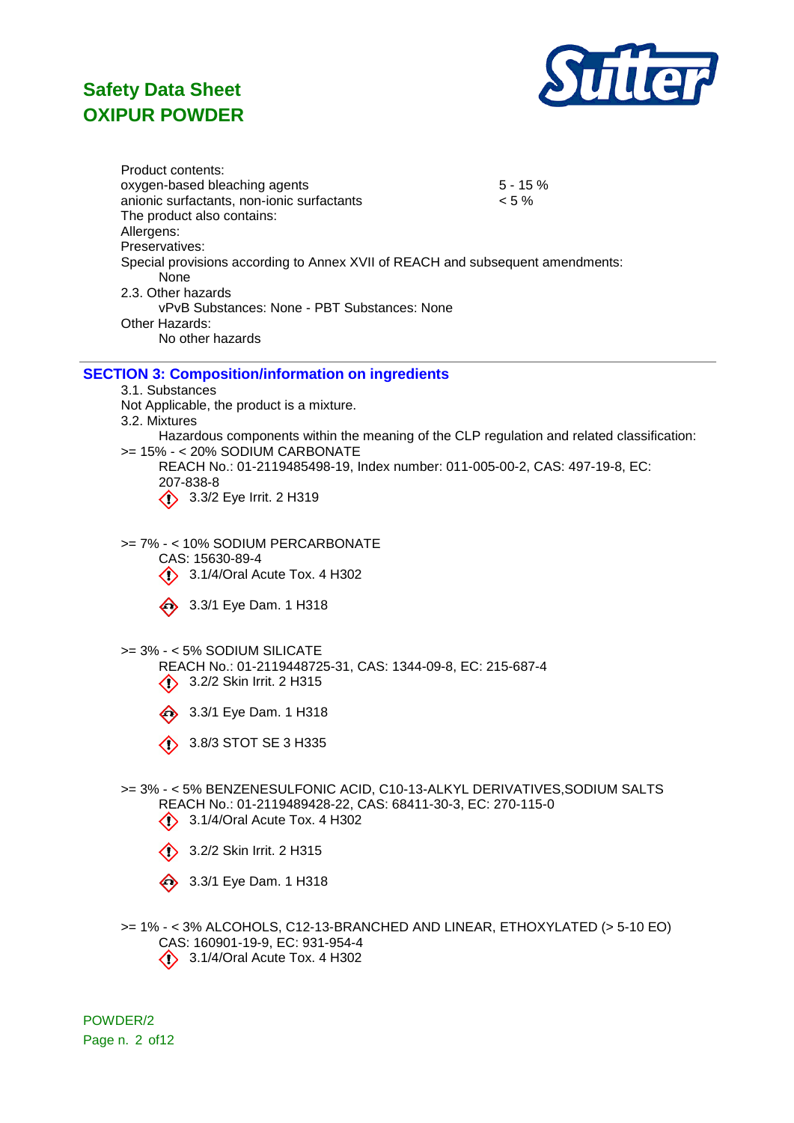

Product contents: oxygen-based bleaching agents 5 - 15 % anionic surfactants, non-ionic surfactants < 5 % The product also contains: Allergens: Preservatives: Special provisions according to Annex XVII of REACH and subsequent amendments: None 2.3. Other hazards vPvB Substances: None - PBT Substances: None Other Hazards: No other hazards

### **SECTION 3: Composition/information on ingredients**

3.1. Substances

- Not Applicable, the product is a mixture.
- 3.2. Mixtures

Hazardous components within the meaning of the CLP regulation and related classification: >= 15% - < 20% SODIUM CARBONATE

REACH No.: 01-2119485498-19, Index number: 011-005-00-2, CAS: 497-19-8, EC: 207-838-8 3.3/2 Eye Irrit. 2 H319

>= 7% - < 10% SODIUM PERCARBONATE

CAS: 15630-89-4 **3.1/4/Oral Acute Tox. 4 H302** 

3.3/1 Eye Dam. 1 H318

#### >= 3% - < 5% SODIUM SILICATE

REACH No.: 01-2119448725-31, CAS: 1344-09-8, EC: 215-687-4 3.2/2 Skin Irrit. 2 H315

- $\iff$  3.3/1 Eye Dam. 1 H318
- $\oslash$  3.8/3 STOT SE 3 H335
- >= 3% < 5% BENZENESULFONIC ACID, C10-13-ALKYL DERIVATIVES,SODIUM SALTS REACH No.: 01-2119489428-22, CAS: 68411-30-3, EC: 270-115-0
	- **3.1/4/Oral Acute Tox. 4 H302**
	- 3.2/2 Skin Irrit. 2 H315
	- 3.3/1 Eye Dam. 1 H318
- >= 1% < 3% ALCOHOLS, C12-13-BRANCHED AND LINEAR, ETHOXYLATED (> 5-10 EO) CAS: 160901-19-9, EC: 931-954-4 3.1/4/Oral Acute Tox. 4 H302

POWDER/2 Page n. 2 of12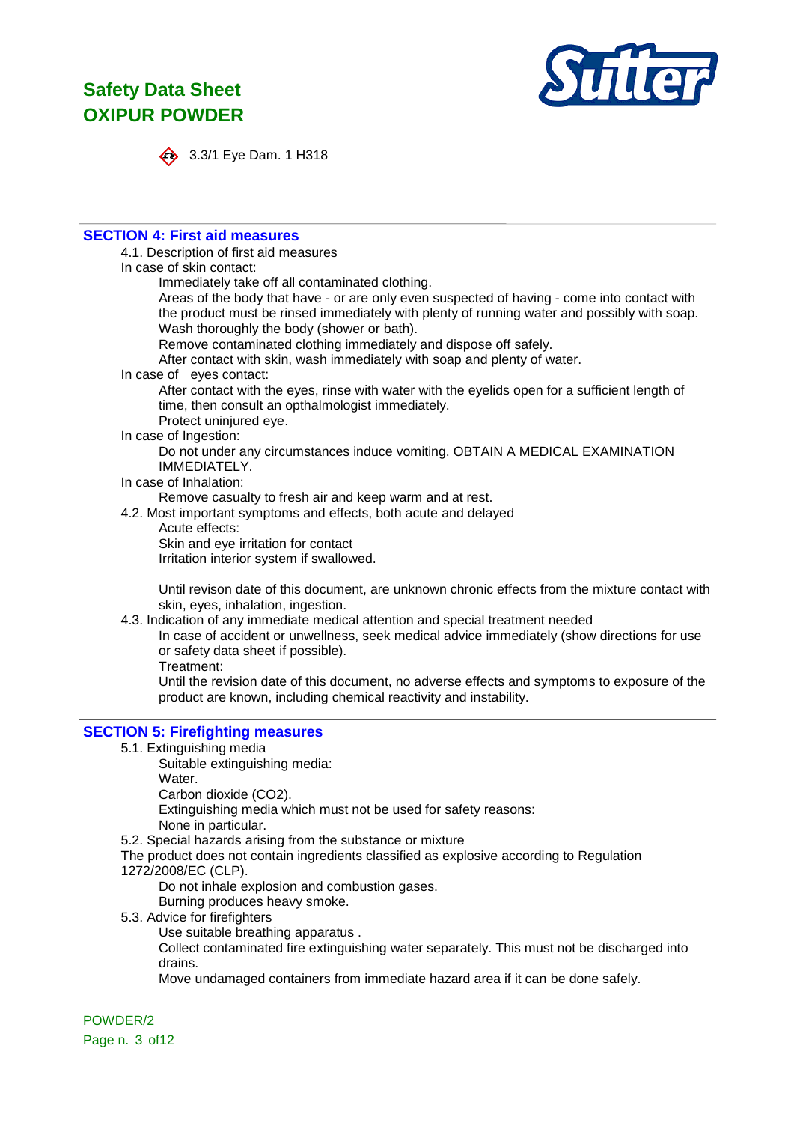

$$
\leftrightarrow
$$
 3.3

3.3/1 Eye Dam. 1 H318

### **SECTION 4: First aid measures**

### 4.1. Description of first aid measures

In case of skin contact:

Immediately take off all contaminated clothing.

Areas of the body that have - or are only even suspected of having - come into contact with the product must be rinsed immediately with plenty of running water and possibly with soap. Wash thoroughly the body (shower or bath).

Remove contaminated clothing immediately and dispose off safely.

After contact with skin, wash immediately with soap and plenty of water.

In case of eyes contact:

After contact with the eyes, rinse with water with the eyelids open for a sufficient length of time, then consult an opthalmologist immediately.

Protect uninjured eye.

In case of Ingestion:

Do not under any circumstances induce vomiting. OBTAIN A MEDICAL EXAMINATION IMMEDIATELY.

#### In case of Inhalation:

Remove casualty to fresh air and keep warm and at rest.

- 4.2. Most important symptoms and effects, both acute and delayed
	- Acute effects:

Skin and eye irritation for contact

Irritation interior system if swallowed.

Until revison date of this document, are unknown chronic effects from the mixture contact with skin, eyes, inhalation, ingestion.

4.3. Indication of any immediate medical attention and special treatment needed

In case of accident or unwellness, seek medical advice immediately (show directions for use or safety data sheet if possible).

Treatment:

Until the revision date of this document, no adverse effects and symptoms to exposure of the product are known, including chemical reactivity and instability.

## **SECTION 5: Firefighting measures**

5.1. Extinguishing media

Suitable extinguishing media:

Water.

Carbon dioxide (CO2).

Extinguishing media which must not be used for safety reasons:

None in particular.

5.2. Special hazards arising from the substance or mixture

The product does not contain ingredients classified as explosive according to Regulation 1272/2008/EC (CLP).

Do not inhale explosion and combustion gases.

Burning produces heavy smoke.

5.3. Advice for firefighters

Use suitable breathing apparatus .

Collect contaminated fire extinguishing water separately. This must not be discharged into drains.

Move undamaged containers from immediate hazard area if it can be done safely.

POWDER/2 Page n. 3 of12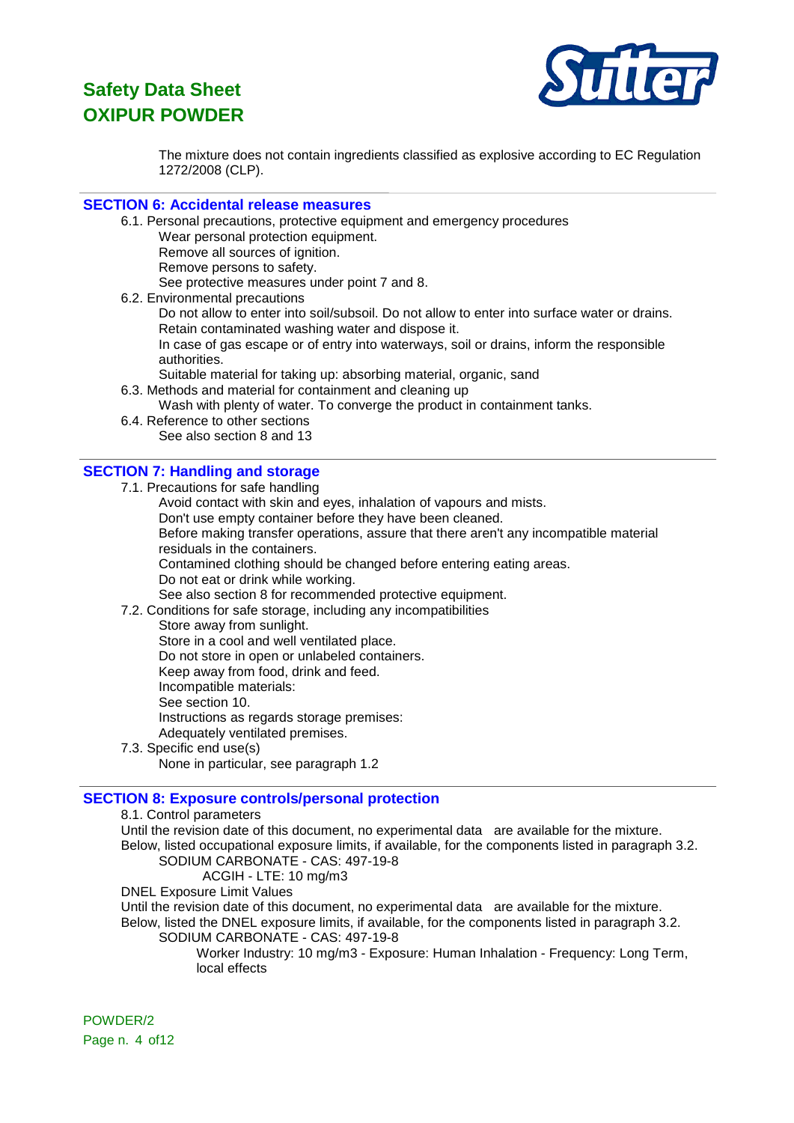

The mixture does not contain ingredients classified as explosive according to EC Regulation 1272/2008 (CLP).

### **SECTION 6: Accidental release measures**

6.1. Personal precautions, protective equipment and emergency procedures Wear personal protection equipment. Remove all sources of ignition. Remove persons to safety. See protective measures under point 7 and 8. 6.2. Environmental precautions Do not allow to enter into soil/subsoil. Do not allow to enter into surface water or drains. Retain contaminated washing water and dispose it.

In case of gas escape or of entry into waterways, soil or drains, inform the responsible authorities.

Suitable material for taking up: absorbing material, organic, sand

- 6.3. Methods and material for containment and cleaning up
	- Wash with plenty of water. To converge the product in containment tanks.
- 6.4. Reference to other sections See also section 8 and 13

### **SECTION 7: Handling and storage**

- 7.1. Precautions for safe handling
- Avoid contact with skin and eyes, inhalation of vapours and mists. Don't use empty container before they have been cleaned. Before making transfer operations, assure that there aren't any incompatible material residuals in the containers. Contamined clothing should be changed before entering eating areas. Do not eat or drink while working. See also section 8 for recommended protective equipment. 7.2. Conditions for safe storage, including any incompatibilities Store away from sunlight. Store in a cool and well ventilated place. Do not store in open or unlabeled containers.

Keep away from food, drink and feed.

Incompatible materials:

See section 10.

Instructions as regards storage premises:

- Adequately ventilated premises.
- 7.3. Specific end use(s)

None in particular, see paragraph 1.2

### **SECTION 8: Exposure controls/personal protection**

8.1. Control parameters

Until the revision date of this document, no experimental data are available for the mixture. Below, listed occupational exposure limits, if available, for the components listed in paragraph 3.2.

# SODIUM CARBONATE - CAS: 497-19-8

ACGIH - LTE: 10 mg/m3

DNEL Exposure Limit Values

Until the revision date of this document, no experimental data are available for the mixture. Below, listed the DNEL exposure limits, if available, for the components listed in paragraph 3.2.

SODIUM CARBONATE - CAS: 497-19-8

Worker Industry: 10 mg/m3 - Exposure: Human Inhalation - Frequency: Long Term, local effects

POWDER/2 Page n. 4 of 12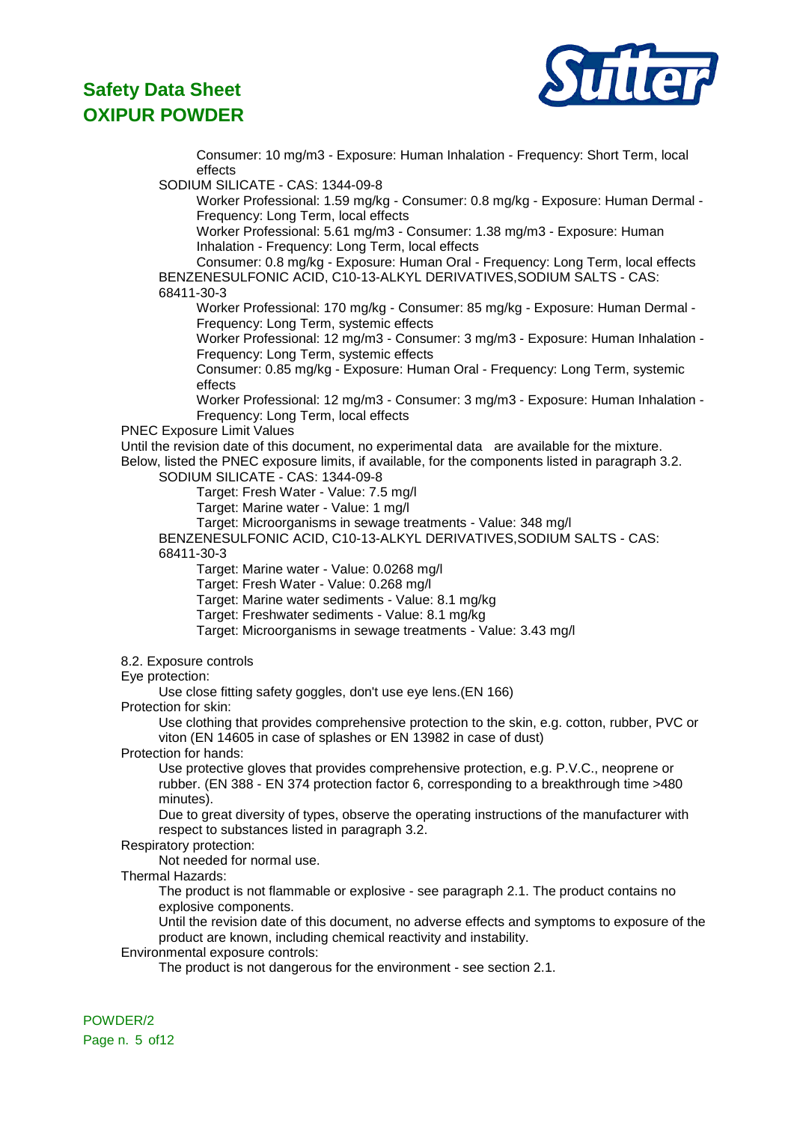

Consumer: 10 mg/m3 - Exposure: Human Inhalation - Frequency: Short Term, local effects

SODIUM SILICATE - CAS: 1344-09-8

Worker Professional: 1.59 mg/kg - Consumer: 0.8 mg/kg - Exposure: Human Dermal - Frequency: Long Term, local effects

Worker Professional: 5.61 mg/m3 - Consumer: 1.38 mg/m3 - Exposure: Human Inhalation - Frequency: Long Term, local effects

Consumer: 0.8 mg/kg - Exposure: Human Oral - Frequency: Long Term, local effects BENZENESULFONIC ACID, C10-13-ALKYL DERIVATIVES,SODIUM SALTS - CAS: 68411-30-3

Worker Professional: 170 mg/kg - Consumer: 85 mg/kg - Exposure: Human Dermal - Frequency: Long Term, systemic effects

Worker Professional: 12 mg/m3 - Consumer: 3 mg/m3 - Exposure: Human Inhalation - Frequency: Long Term, systemic effects

Consumer: 0.85 mg/kg - Exposure: Human Oral - Frequency: Long Term, systemic effects

Worker Professional: 12 mg/m3 - Consumer: 3 mg/m3 - Exposure: Human Inhalation - Frequency: Long Term, local effects

PNEC Exposure Limit Values

Until the revision date of this document, no experimental data are available for the mixture. Below, listed the PNEC exposure limits, if available, for the components listed in paragraph 3.2.

SODIUM SILICATE - CAS: 1344-09-8

Target: Fresh Water - Value: 7.5 mg/l

Target: Marine water - Value: 1 mg/l

Target: Microorganisms in sewage treatments - Value: 348 mg/l

BENZENESULFONIC ACID, C10-13-ALKYL DERIVATIVES,SODIUM SALTS - CAS: 68411-30-3

Target: Marine water - Value: 0.0268 mg/l

Target: Fresh Water - Value: 0.268 mg/l

Target: Marine water sediments - Value: 8.1 mg/kg

Target: Freshwater sediments - Value: 8.1 mg/kg

Target: Microorganisms in sewage treatments - Value: 3.43 mg/l

8.2. Exposure controls

Eye protection:

Use close fitting safety goggles, don't use eye lens.(EN 166)

Protection for skin:

Use clothing that provides comprehensive protection to the skin, e.g. cotton, rubber, PVC or viton (EN 14605 in case of splashes or EN 13982 in case of dust)

Protection for hands:

Use protective gloves that provides comprehensive protection, e.g. P.V.C., neoprene or rubber. (EN 388 - EN 374 protection factor 6, corresponding to a breakthrough time >480 minutes).

Due to great diversity of types, observe the operating instructions of the manufacturer with respect to substances listed in paragraph 3.2.

Respiratory protection:

Not needed for normal use.

Thermal Hazards:

The product is not flammable or explosive - see paragraph 2.1. The product contains no explosive components.

Until the revision date of this document, no adverse effects and symptoms to exposure of the product are known, including chemical reactivity and instability.

Environmental exposure controls:

The product is not dangerous for the environment - see section 2.1.

POWDER/2 Page n. 5 of12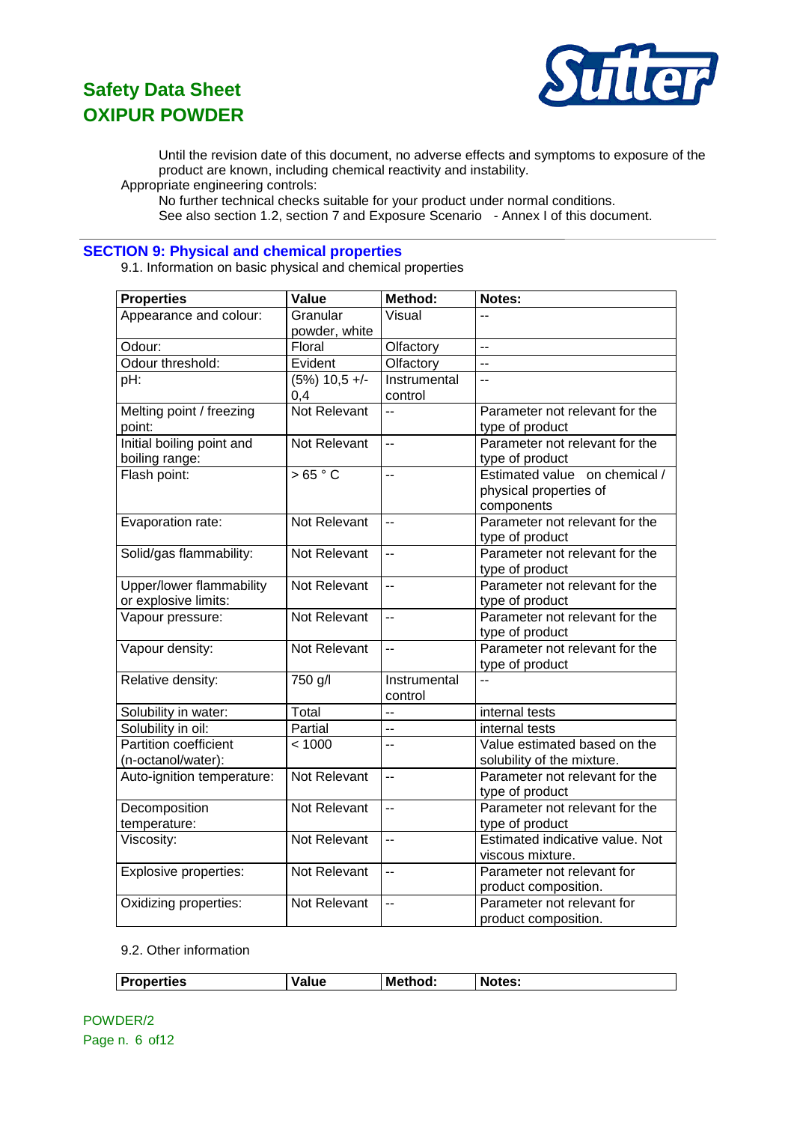

Until the revision date of this document, no adverse effects and symptoms to exposure of the product are known, including chemical reactivity and instability.

Appropriate engineering controls:

No further technical checks suitable for your product under normal conditions.

See also section 1.2, section 7 and Exposure Scenario - Annex I of this document.

# **SECTION 9: Physical and chemical properties**

9.1. Information on basic physical and chemical properties

| <b>Properties</b>               | Value               | <b>Method:</b>           | Notes:                          |
|---------------------------------|---------------------|--------------------------|---------------------------------|
| Appearance and colour:          | Granular            | Visual                   |                                 |
|                                 | powder, white       |                          |                                 |
| Odour:                          | Floral              | Olfactory                | L.                              |
| Odour threshold:                | Evident             | Olfactory                | $\overline{a}$                  |
| pH:                             | $(5\%)$ 10,5 +/-    | Instrumental             | $\overline{a}$                  |
|                                 | 0,4                 | control                  |                                 |
| Melting point / freezing        | <b>Not Relevant</b> | $\sim$                   | Parameter not relevant for the  |
| point:                          |                     |                          | type of product                 |
| Initial boiling point and       | <b>Not Relevant</b> | $\overline{a}$           | Parameter not relevant for the  |
| boiling range:                  |                     |                          | type of product                 |
| Flash point:                    | >65 °C              | $\sim$                   | Estimated value on chemical /   |
|                                 |                     |                          | physical properties of          |
|                                 |                     |                          | components                      |
| Evaporation rate:               | Not Relevant        | $\ddot{\phantom{a}}$     | Parameter not relevant for the  |
|                                 |                     |                          | type of product                 |
| Solid/gas flammability:         | Not Relevant        | $\overline{\phantom{a}}$ | Parameter not relevant for the  |
|                                 |                     |                          | type of product                 |
| <b>Upper/lower flammability</b> | Not Relevant        | $\overline{\phantom{a}}$ | Parameter not relevant for the  |
| or explosive limits:            |                     |                          | type of product                 |
| Vapour pressure:                | Not Relevant        | $\ddot{\phantom{a}}$     | Parameter not relevant for the  |
|                                 |                     |                          | type of product                 |
| Vapour density:                 | Not Relevant        | $\overline{\phantom{a}}$ | Parameter not relevant for the  |
|                                 |                     |                          | type of product                 |
| Relative density:               | 750 g/l             | Instrumental             | $\overline{a}$                  |
|                                 |                     | control                  |                                 |
| Solubility in water:            | Total               | $\ddot{\phantom{a}}$     | internal tests                  |
| Solubility in oil:              | Partial             | u.                       | internal tests                  |
| <b>Partition coefficient</b>    | < 1000              | $\overline{\phantom{a}}$ | Value estimated based on the    |
| (n-octanol/water):              |                     |                          | solubility of the mixture.      |
| Auto-ignition temperature:      | Not Relevant        | $\overline{a}$           | Parameter not relevant for the  |
|                                 |                     |                          | type of product                 |
| Decomposition                   | Not Relevant        | $\overline{\phantom{a}}$ | Parameter not relevant for the  |
| temperature:                    |                     |                          | type of product                 |
| Viscosity:                      | Not Relevant        | $\sim$                   | Estimated indicative value. Not |
|                                 |                     |                          | viscous mixture.                |
| Explosive properties:           | Not Relevant        | $\overline{a}$           | Parameter not relevant for      |
|                                 |                     |                          | product composition.            |
| Oxidizing properties:           | Not Relevant        | $\ddotsc$                | Parameter not relevant for      |
|                                 |                     |                          | product composition.            |

#### 9.2. Other information

|  | <b>Properties</b><br>Method:<br><b>Notes:</b><br>alue |
|--|-------------------------------------------------------|
|--|-------------------------------------------------------|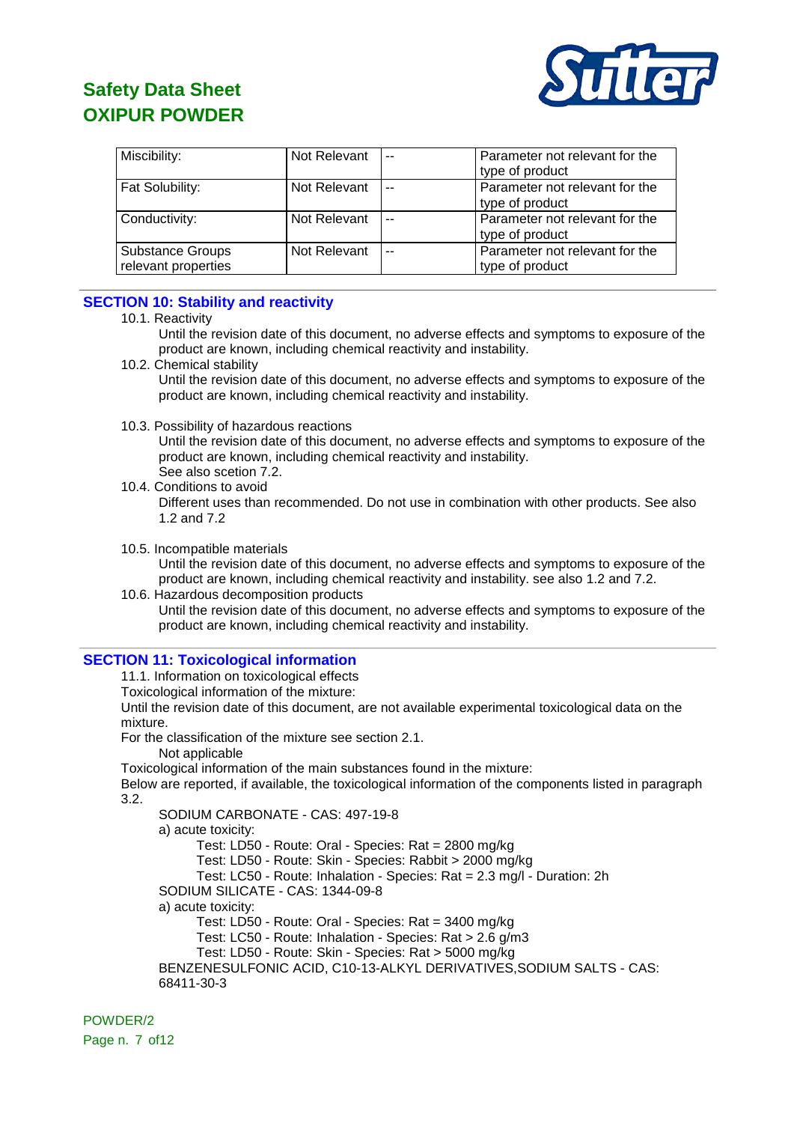

| Miscibility:                                   | Not Relevant | $\sim$ $\sim$  | Parameter not relevant for the<br>type of product |
|------------------------------------------------|--------------|----------------|---------------------------------------------------|
| Fat Solubility:                                | Not Relevant | $\overline{a}$ | Parameter not relevant for the<br>type of product |
| Conductivity:                                  | Not Relevant | $-$            | Parameter not relevant for the<br>type of product |
| <b>Substance Groups</b><br>relevant properties | Not Relevant | $-$            | Parameter not relevant for the<br>type of product |

# **SECTION 10: Stability and reactivity**

10.1. Reactivity

Until the revision date of this document, no adverse effects and symptoms to exposure of the product are known, including chemical reactivity and instability.

10.2. Chemical stability

Until the revision date of this document, no adverse effects and symptoms to exposure of the product are known, including chemical reactivity and instability.

10.3. Possibility of hazardous reactions

Until the revision date of this document, no adverse effects and symptoms to exposure of the product are known, including chemical reactivity and instability. See also scetion 7.2.

- 10.4. Conditions to avoid Different uses than recommended. Do not use in combination with other products. See also 1.2 and 7.2
- 10.5. Incompatible materials Until the revision date of this document, no adverse effects and symptoms to exposure of the product are known, including chemical reactivity and instability. see also 1.2 and 7.2.
- 10.6. Hazardous decomposition products Until the revision date of this document, no adverse effects and symptoms to exposure of the product are known, including chemical reactivity and instability.

### **SECTION 11: Toxicological information**

11.1. Information on toxicological effects

Toxicological information of the mixture:

Until the revision date of this document, are not available experimental toxicological data on the mixture.

For the classification of the mixture see section 2.1.

Not applicable

Toxicological information of the main substances found in the mixture:

Below are reported, if available, the toxicological information of the components listed in paragraph 3.2.

SODIUM CARBONATE - CAS: 497-19-8

a) acute toxicity:

Test: LD50 - Route: Oral - Species: Rat = 2800 mg/kg

Test: LD50 - Route: Skin - Species: Rabbit > 2000 mg/kg

Test: LC50 - Route: Inhalation - Species: Rat = 2.3 mg/l - Duration: 2h

SODIUM SILICATE - CAS: 1344-09-8

a) acute toxicity:

Test: LD50 - Route: Oral - Species: Rat = 3400 mg/kg

Test: LC50 - Route: Inhalation - Species: Rat > 2.6 g/m3

Test: LD50 - Route: Skin - Species: Rat > 5000 mg/kg

BENZENESULFONIC ACID, C10-13-ALKYL DERIVATIVES,SODIUM SALTS - CAS: 68411-30-3

POWDER/2 Page n. 7 of 12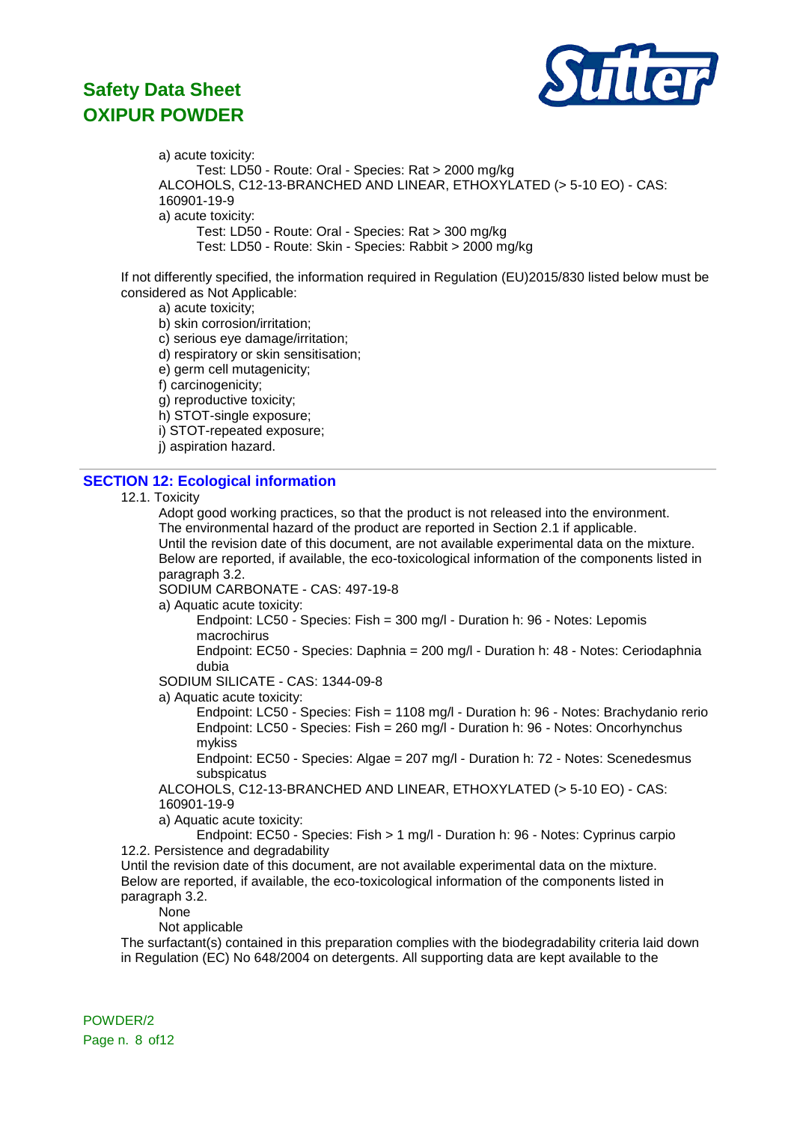

a) acute toxicity: Test: LD50 - Route: Oral - Species: Rat > 2000 mg/kg ALCOHOLS, C12-13-BRANCHED AND LINEAR, ETHOXYLATED (> 5-10 EO) - CAS: 160901-19-9 a) acute toxicity: Test: LD50 - Route: Oral - Species: Rat > 300 mg/kg Test: LD50 - Route: Skin - Species: Rabbit > 2000 mg/kg

If not differently specified, the information required in Regulation (EU)2015/830 listed below must be considered as Not Applicable:

a) acute toxicity;

b) skin corrosion/irritation;

c) serious eye damage/irritation;

d) respiratory or skin sensitisation;

e) germ cell mutagenicity;

f) carcinogenicity;

g) reproductive toxicity;

h) STOT-single exposure;

i) STOT-repeated exposure;

j) aspiration hazard.

### **SECTION 12: Ecological information**

#### 12.1. Toxicity

Adopt good working practices, so that the product is not released into the environment. The environmental hazard of the product are reported in Section 2.1 if applicable. Until the revision date of this document, are not available experimental data on the mixture. Below are reported, if available, the eco-toxicological information of the components listed in paragraph 3.2.

SODIUM CARBONATE - CAS: 497-19-8

a) Aquatic acute toxicity:

Endpoint: LC50 - Species: Fish = 300 mg/l - Duration h: 96 - Notes: Lepomis macrochirus

Endpoint: EC50 - Species: Daphnia = 200 mg/l - Duration h: 48 - Notes: Ceriodaphnia dubia

SODIUM SILICATE - CAS: 1344-09-8

a) Aquatic acute toxicity:

Endpoint: LC50 - Species: Fish = 1108 mg/l - Duration h: 96 - Notes: Brachydanio rerio Endpoint: LC50 - Species: Fish = 260 mg/l - Duration h: 96 - Notes: Oncorhynchus mykiss

Endpoint: EC50 - Species: Algae = 207 mg/l - Duration h: 72 - Notes: Scenedesmus subspicatus

ALCOHOLS, C12-13-BRANCHED AND LINEAR, ETHOXYLATED (> 5-10 EO) - CAS: 160901-19-9

a) Aquatic acute toxicity:

Endpoint: EC50 - Species: Fish > 1 mg/l - Duration h: 96 - Notes: Cyprinus carpio 12.2. Persistence and degradability

Until the revision date of this document, are not available experimental data on the mixture. Below are reported, if available, the eco-toxicological information of the components listed in paragraph 3.2.

**None** 

Not applicable

The surfactant(s) contained in this preparation complies with the biodegradability criteria laid down in Regulation (EC) No 648/2004 on detergents. All supporting data are kept available to the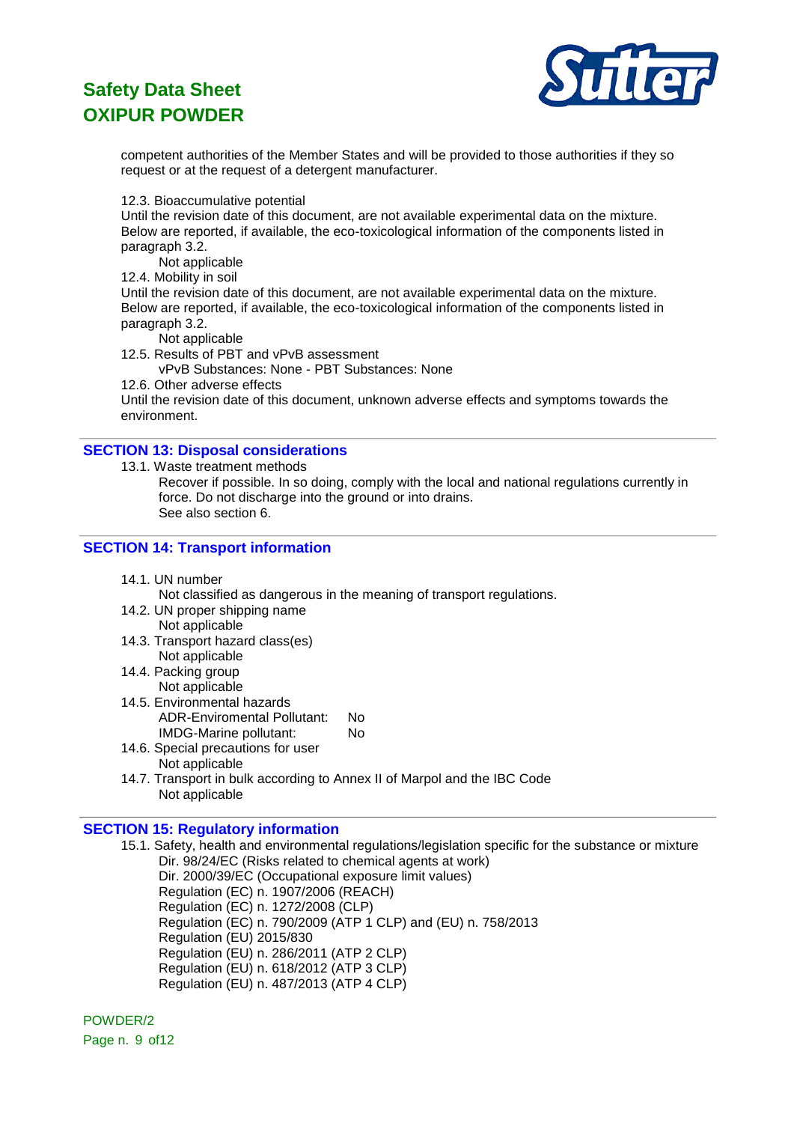

competent authorities of the Member States and will be provided to those authorities if they so request or at the request of a detergent manufacturer.

12.3. Bioaccumulative potential

Until the revision date of this document, are not available experimental data on the mixture. Below are reported, if available, the eco-toxicological information of the components listed in paragraph 3.2.

Not applicable

12.4. Mobility in soil

Until the revision date of this document, are not available experimental data on the mixture. Below are reported, if available, the eco-toxicological information of the components listed in paragraph 3.2.

Not applicable

12.5. Results of PBT and vPvB assessment

vPvB Substances: None - PBT Substances: None

12.6. Other adverse effects

Until the revision date of this document, unknown adverse effects and symptoms towards the environment.

### **SECTION 13: Disposal considerations**

13.1. Waste treatment methods

Recover if possible. In so doing, comply with the local and national regulations currently in force. Do not discharge into the ground or into drains. See also section 6.

### **SECTION 14: Transport information**

14.1. UN number

Not classified as dangerous in the meaning of transport regulations.

- 14.2. UN proper shipping name Not applicable
- 14.3. Transport hazard class(es) Not applicable
- 14.4. Packing group
	- Not applicable
- 14.5. Environmental hazards ADR-Enviromental Pollutant: No IMDG-Marine pollutant: No
- 14.6. Special precautions for user Not applicable
- 14.7. Transport in bulk according to Annex II of Marpol and the IBC Code Not applicable

### **SECTION 15: Regulatory information**

15.1. Safety, health and environmental regulations/legislation specific for the substance or mixture Dir. 98/24/EC (Risks related to chemical agents at work)

Dir. 2000/39/EC (Occupational exposure limit values) Regulation (EC) n. 1907/2006 (REACH) Regulation (EC) n. 1272/2008 (CLP) Regulation (EC) n. 790/2009 (ATP 1 CLP) and (EU) n. 758/2013 Regulation (EU) 2015/830 Regulation (EU) n. 286/2011 (ATP 2 CLP) Regulation (EU) n. 618/2012 (ATP 3 CLP) Regulation (EU) n. 487/2013 (ATP 4 CLP)

POWDER/2 Page n. 9 of12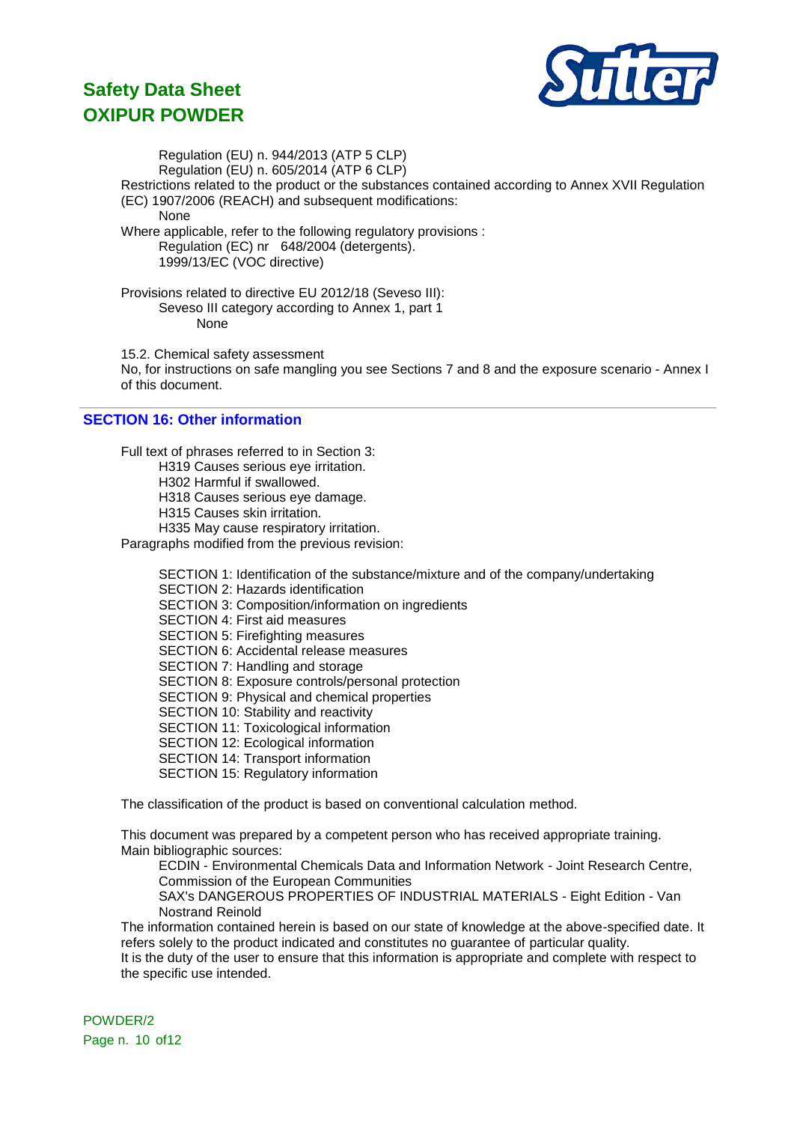

Regulation (EU) n. 944/2013 (ATP 5 CLP) Regulation (EU) n. 605/2014 (ATP 6 CLP) Restrictions related to the product or the substances contained according to Annex XVII Regulation (EC) 1907/2006 (REACH) and subsequent modifications: None Where applicable, refer to the following regulatory provisions : Regulation (EC) nr 648/2004 (detergents). 1999/13/EC (VOC directive) Provisions related to directive EU 2012/18 (Seveso III): Seveso III category according to Annex 1, part 1 None

15.2. Chemical safety assessment

No, for instructions on safe mangling you see Sections 7 and 8 and the exposure scenario - Annex I of this document.

# **SECTION 16: Other information**

Full text of phrases referred to in Section 3:

H319 Causes serious eye irritation.

H302 Harmful if swallowed.

H318 Causes serious eye damage.

H315 Causes skin irritation.

H335 May cause respiratory irritation.

Paragraphs modified from the previous revision:

SECTION 1: Identification of the substance/mixture and of the company/undertaking SECTION 2: Hazards identification SECTION 3: Composition/information on ingredients SECTION 4: First aid measures SECTION 5: Firefighting measures SECTION 6: Accidental release measures SECTION 7: Handling and storage SECTION 8: Exposure controls/personal protection SECTION 9: Physical and chemical properties SECTION 10: Stability and reactivity SECTION 11: Toxicological information SECTION 12: Ecological information SECTION 14: Transport information SECTION 15: Regulatory information

The classification of the product is based on conventional calculation method.

This document was prepared by a competent person who has received appropriate training. Main bibliographic sources:

ECDIN - Environmental Chemicals Data and Information Network - Joint Research Centre, Commission of the European Communities

SAX's DANGEROUS PROPERTIES OF INDUSTRIAL MATERIALS - Eight Edition - Van Nostrand Reinold

The information contained herein is based on our state of knowledge at the above-specified date. It refers solely to the product indicated and constitutes no guarantee of particular quality.

It is the duty of the user to ensure that this information is appropriate and complete with respect to the specific use intended.

POWDER/2 Page n. 10 of12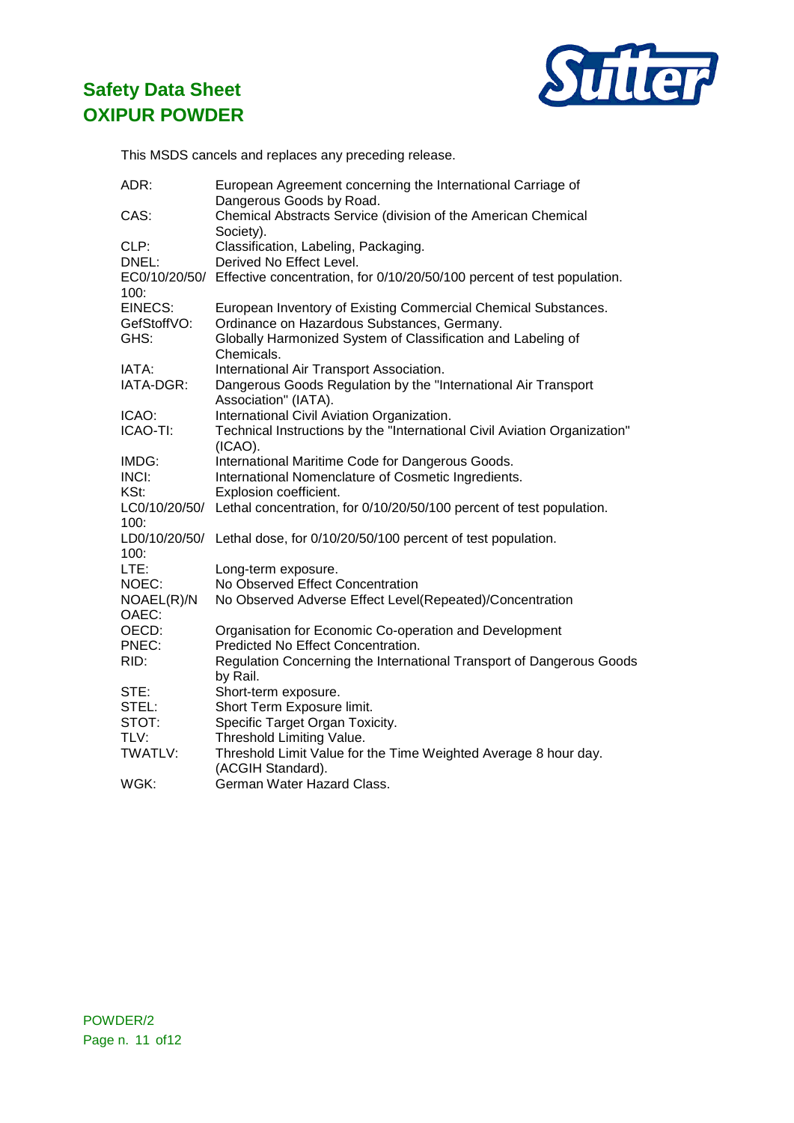

This MSDS cancels and replaces any preceding release.

| ADR:           | European Agreement concerning the International Carriage of<br>Dangerous Goods by Road. |
|----------------|-----------------------------------------------------------------------------------------|
| CAS:           | Chemical Abstracts Service (division of the American Chemical<br>Society).              |
| CLP:           | Classification, Labeling, Packaging.                                                    |
| DNEL:          | Derived No Effect Level.                                                                |
|                | EC0/10/20/50/ Effective concentration, for 0/10/20/50/100 percent of test population.   |
| 100:           |                                                                                         |
| <b>EINECS:</b> | European Inventory of Existing Commercial Chemical Substances.                          |
| GefStoffVO:    | Ordinance on Hazardous Substances, Germany.                                             |
| GHS:           | Globally Harmonized System of Classification and Labeling of<br>Chemicals.              |
| IATA:          | International Air Transport Association.                                                |
| IATA-DGR:      | Dangerous Goods Regulation by the "International Air Transport                          |
|                | Association" (IATA).                                                                    |
| ICAO:          | International Civil Aviation Organization.                                              |
| ICAO-TI:       | Technical Instructions by the "International Civil Aviation Organization"               |
|                | $(ICAO)$ .                                                                              |
| IMDG:          | International Maritime Code for Dangerous Goods.                                        |
| INCI:          | International Nomenclature of Cosmetic Ingredients.                                     |
| KSt:           | Explosion coefficient.                                                                  |
|                | LC0/10/20/50/ Lethal concentration, for 0/10/20/50/100 percent of test population.      |
| 100:           |                                                                                         |
|                | LD0/10/20/50/ Lethal dose, for 0/10/20/50/100 percent of test population.               |
| 100:           |                                                                                         |
| LTE:           | Long-term exposure.                                                                     |
| NOEC:          | No Observed Effect Concentration                                                        |
| NOAEL(R)/N     | No Observed Adverse Effect Level(Repeated)/Concentration                                |
| OAEC:          |                                                                                         |
| OECD:          | Organisation for Economic Co-operation and Development                                  |
| PNEC:          | Predicted No Effect Concentration.                                                      |
| RID:           | Regulation Concerning the International Transport of Dangerous Goods                    |
|                | by Rail.                                                                                |
| STE:           | Short-term exposure.                                                                    |
| STEL:          | Short Term Exposure limit.                                                              |
| STOT:          | Specific Target Organ Toxicity.                                                         |
| TLV:           | Threshold Limiting Value.                                                               |
| TWATLV:        | Threshold Limit Value for the Time Weighted Average 8 hour day.                         |
|                | (ACGIH Standard).<br>German Water Hazard Class.                                         |
| WGK:           |                                                                                         |